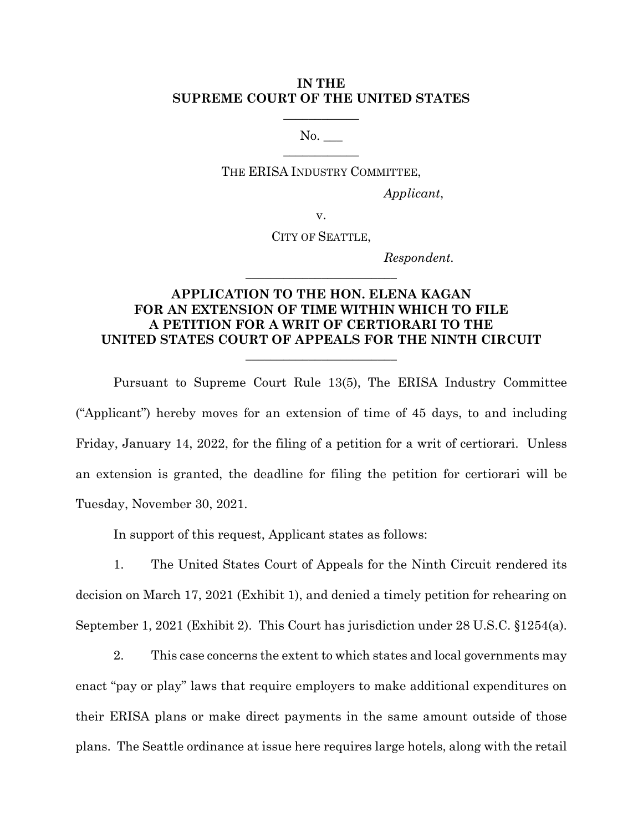## **IN THE SUPREME COURT OF THE UNITED STATES**

 $\overline{\phantom{a}}$  , where  $\overline{\phantom{a}}$ 

No.  $\overline{\phantom{a}}$  , where  $\overline{\phantom{a}}$ 

THE ERISA INDUSTRY COMMITTEE,

*Applicant*,

v.

CITY OF SEATTLE,

**\_\_\_\_\_\_\_\_\_\_\_\_\_\_\_\_\_\_\_\_\_\_\_\_**

*Respondent.*

## **APPLICATION TO THE HON. ELENA KAGAN FOR AN EXTENSION OF TIME WITHIN WHICH TO FILE A PETITION FOR A WRIT OF CERTIORARI TO THE UNITED STATES COURT OF APPEALS FOR THE NINTH CIRCUIT**

 $\overline{\phantom{a}}$  , where  $\overline{\phantom{a}}$  , where  $\overline{\phantom{a}}$  , where  $\overline{\phantom{a}}$ 

Pursuant to Supreme Court Rule 13(5), The ERISA Industry Committee ("Applicant") hereby moves for an extension of time of 45 days, to and including Friday, January 14, 2022, for the filing of a petition for a writ of certiorari. Unless an extension is granted, the deadline for filing the petition for certiorari will be Tuesday, November 30, 2021.

In support of this request, Applicant states as follows:

1. The United States Court of Appeals for the Ninth Circuit rendered its decision on March 17, 2021 (Exhibit 1), and denied a timely petition for rehearing on September 1, 2021 (Exhibit 2). This Court has jurisdiction under 28 U.S.C. §1254(a).

2. This case concerns the extent to which states and local governments may enact "pay or play" laws that require employers to make additional expenditures on their ERISA plans or make direct payments in the same amount outside of those plans. The Seattle ordinance at issue here requires large hotels, along with the retail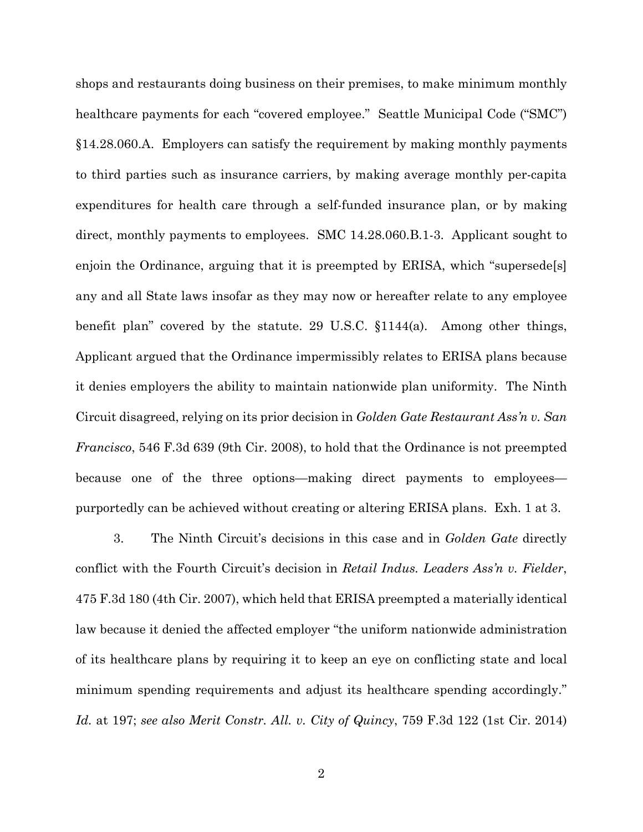shops and restaurants doing business on their premises, to make minimum monthly healthcare payments for each "covered employee." Seattle Municipal Code ("SMC") §14.28.060.A. Employers can satisfy the requirement by making monthly payments to third parties such as insurance carriers, by making average monthly per-capita expenditures for health care through a self-funded insurance plan, or by making direct, monthly payments to employees. SMC 14.28.060.B.1-3. Applicant sought to enjoin the Ordinance, arguing that it is preempted by ERISA, which "supersede[s] any and all State laws insofar as they may now or hereafter relate to any employee benefit plan" covered by the statute. 29 U.S.C. §1144(a). Among other things, Applicant argued that the Ordinance impermissibly relates to ERISA plans because it denies employers the ability to maintain nationwide plan uniformity. The Ninth Circuit disagreed, relying on its prior decision in *Golden Gate Restaurant Ass'n v. San Francisco*, 546 F.3d 639 (9th Cir. 2008), to hold that the Ordinance is not preempted because one of the three options—making direct payments to employees purportedly can be achieved without creating or altering ERISA plans. Exh. 1 at 3.

3. The Ninth Circuit's decisions in this case and in *Golden Gate* directly conflict with the Fourth Circuit's decision in *Retail Indus. Leaders Ass'n v. Fielder*, 475 F.3d 180 (4th Cir. 2007), which held that ERISA preempted a materially identical law because it denied the affected employer "the uniform nationwide administration of its healthcare plans by requiring it to keep an eye on conflicting state and local minimum spending requirements and adjust its healthcare spending accordingly." *Id.* at 197; *see also Merit Constr. All. v. City of Quincy*, 759 F.3d 122 (1st Cir. 2014)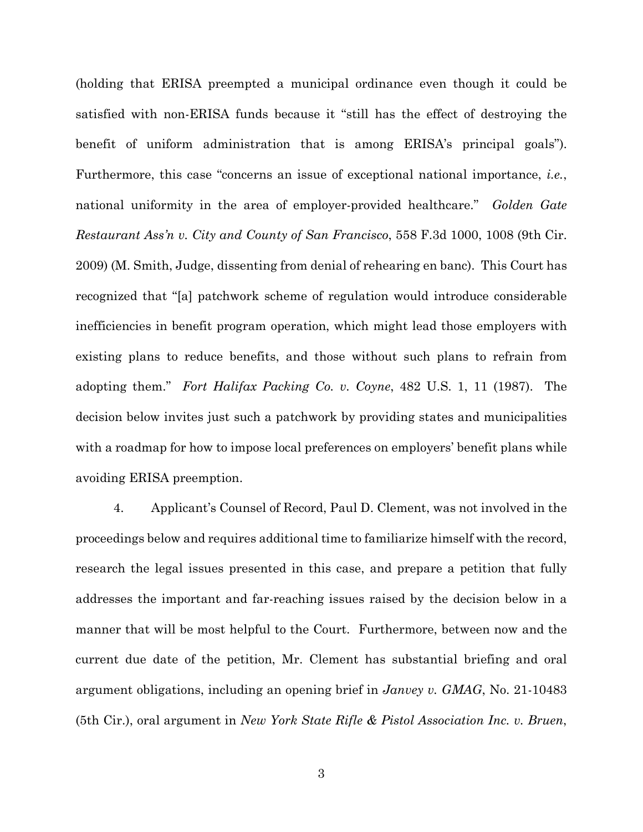(holding that ERISA preempted a municipal ordinance even though it could be satisfied with non-ERISA funds because it "still has the effect of destroying the benefit of uniform administration that is among ERISA's principal goals"). Furthermore, this case "concerns an issue of exceptional national importance, *i.e.*, national uniformity in the area of employer-provided healthcare." *Golden Gate Restaurant Ass'n v. City and County of San Francisco*, 558 F.3d 1000, 1008 (9th Cir. 2009) (M. Smith, Judge, dissenting from denial of rehearing en banc). This Court has recognized that "[a] patchwork scheme of regulation would introduce considerable inefficiencies in benefit program operation, which might lead those employers with existing plans to reduce benefits, and those without such plans to refrain from adopting them." *Fort Halifax Packing Co. v. Coyne*, 482 U.S. 1, 11 (1987). The decision below invites just such a patchwork by providing states and municipalities with a roadmap for how to impose local preferences on employers' benefit plans while avoiding ERISA preemption.

4. Applicant's Counsel of Record, Paul D. Clement, was not involved in the proceedings below and requires additional time to familiarize himself with the record, research the legal issues presented in this case, and prepare a petition that fully addresses the important and far-reaching issues raised by the decision below in a manner that will be most helpful to the Court. Furthermore, between now and the current due date of the petition, Mr. Clement has substantial briefing and oral argument obligations, including an opening brief in *Janvey v. GMAG*, No. 21-10483 (5th Cir.), oral argument in *New York State Rifle & Pistol Association Inc. v. Bruen*,